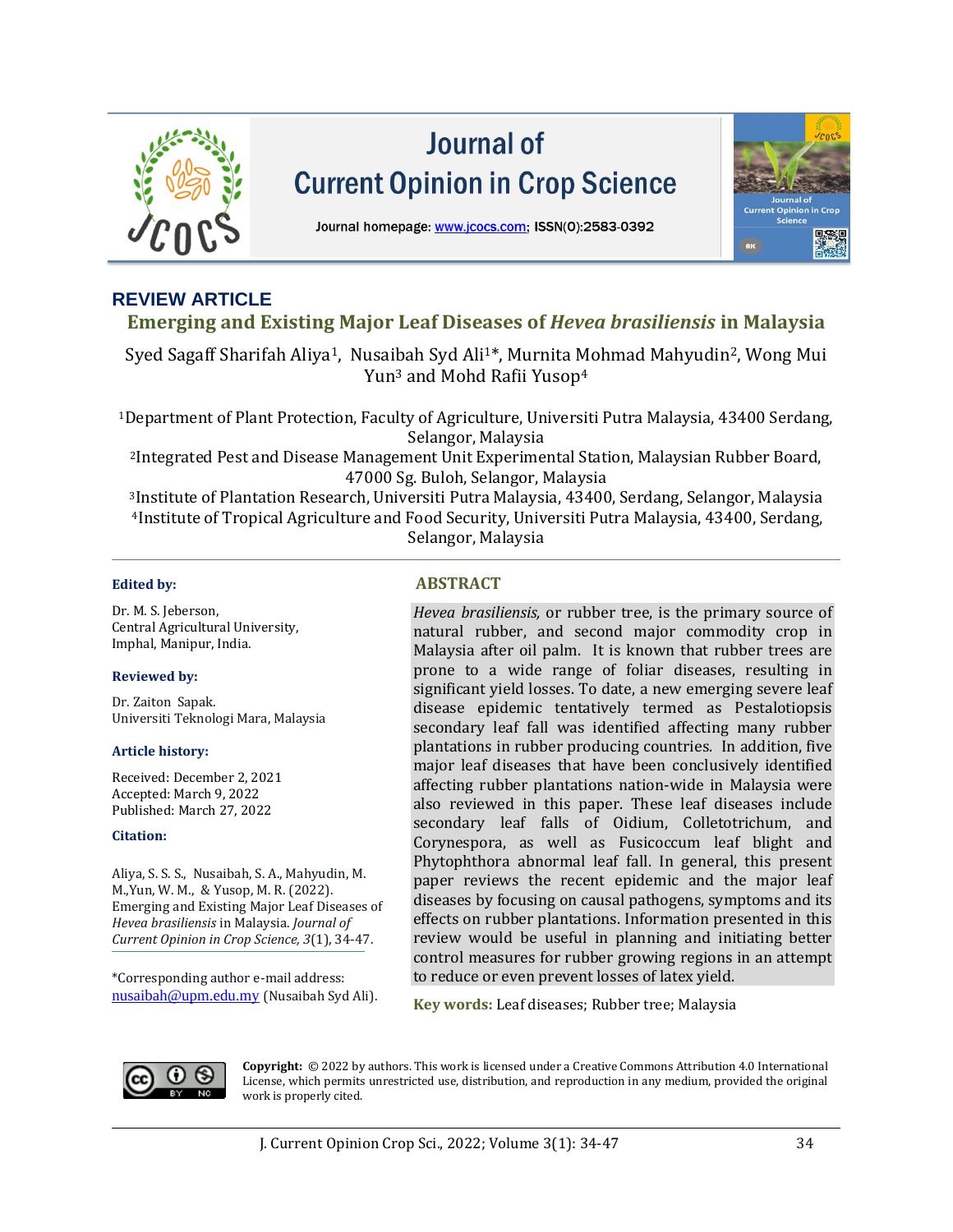

# Journal of **Current Opinion in Crop Science**



Journal homepage: www.jcocs.com; ISSN(0):2583-0392

# **REVIEW ARTICLE**

# **Emerging and Existing Major Leaf Diseases of** *Hevea brasiliensis* **in Malaysia**

Syed Sagaff Sharifah Aliya1, Nusaibah Syd Ali1\*, Murnita Mohmad Mahyudin2, Wong Mui Yun<sup>3</sup> and Mohd Rafii Yusop<sup>4</sup>

<sup>1</sup>Department of Plant Protection, Faculty of Agriculture, Universiti Putra Malaysia, 43400 Serdang, Selangor, Malaysia

<sup>2</sup>Integrated Pest and Disease Management Unit Experimental Station, Malaysian Rubber Board, 47000 Sg. Buloh, Selangor, Malaysia

<sup>3</sup>Institute of Plantation Research, Universiti Putra Malaysia, 43400, Serdang, Selangor, Malaysia <sup>4</sup>Institute of Tropical Agriculture and Food Security, Universiti Putra Malaysia, 43400, Serdang, Selangor, Malaysia

Dr. M. S. Jeberson, Central Agricultural University, Imphal, Manipur, India.

#### **Reviewed by:**

Dr. Zaiton Sapak. Universiti Teknologi Mara, Malaysia

#### **Article history:**

Received: December 2, 2021 Accepted: March 9, 2022 Published: March 27, 2022

#### **Citation:**

Aliya, S. S. S., Nusaibah, S. A., Mahyudin, M. M.,Yun, W. M., & Yusop, M. R. (2022). Emerging and Existing Major Leaf Diseases of *Hevea brasiliensis* in Malaysia. *Journal of Current Opinion in Crop Science, 3*(1), 34-47.

\*Corresponding author e-mail address: [nusaibah@upm.edu.my](mailto:nusaibah@upm.edu.my) (Nusaibah Syd Ali).

### **Edited by: ABSTRACT**

*Hevea brasiliensis,* or rubber tree, is the primary source of natural rubber, and second major commodity crop in Malaysia after oil palm. It is known that rubber trees are prone to a wide range of foliar diseases, resulting in significant yield losses. To date, a new emerging severe leaf disease epidemic tentatively termed as Pestalotiopsis secondary leaf fall was identified affecting many rubber plantations in rubber producing countries. In addition, five major leaf diseases that have been conclusively identified affecting rubber plantations nation-wide in Malaysia were also reviewed in this paper. These leaf diseases include secondary leaf falls of Oidium, Colletotrichum, and Corynespora, as well as Fusicoccum leaf blight and Phytophthora abnormal leaf fall. In general, this present paper reviews the recent epidemic and the major leaf diseases by focusing on causal pathogens, symptoms and its effects on rubber plantations. Information presented in this review would be useful in planning and initiating better control measures for rubber growing regions in an attempt to reduce or even prevent losses of latex yield.

**Key words:** Leaf diseases; Rubber tree; Malaysia



**Copyright:** © 2022 by authors. This work is licensed under a Creative Commons Attribution 4.0 International License, which permits unrestricted use, distribution, and reproduction in any medium, provided the original work is properly cited.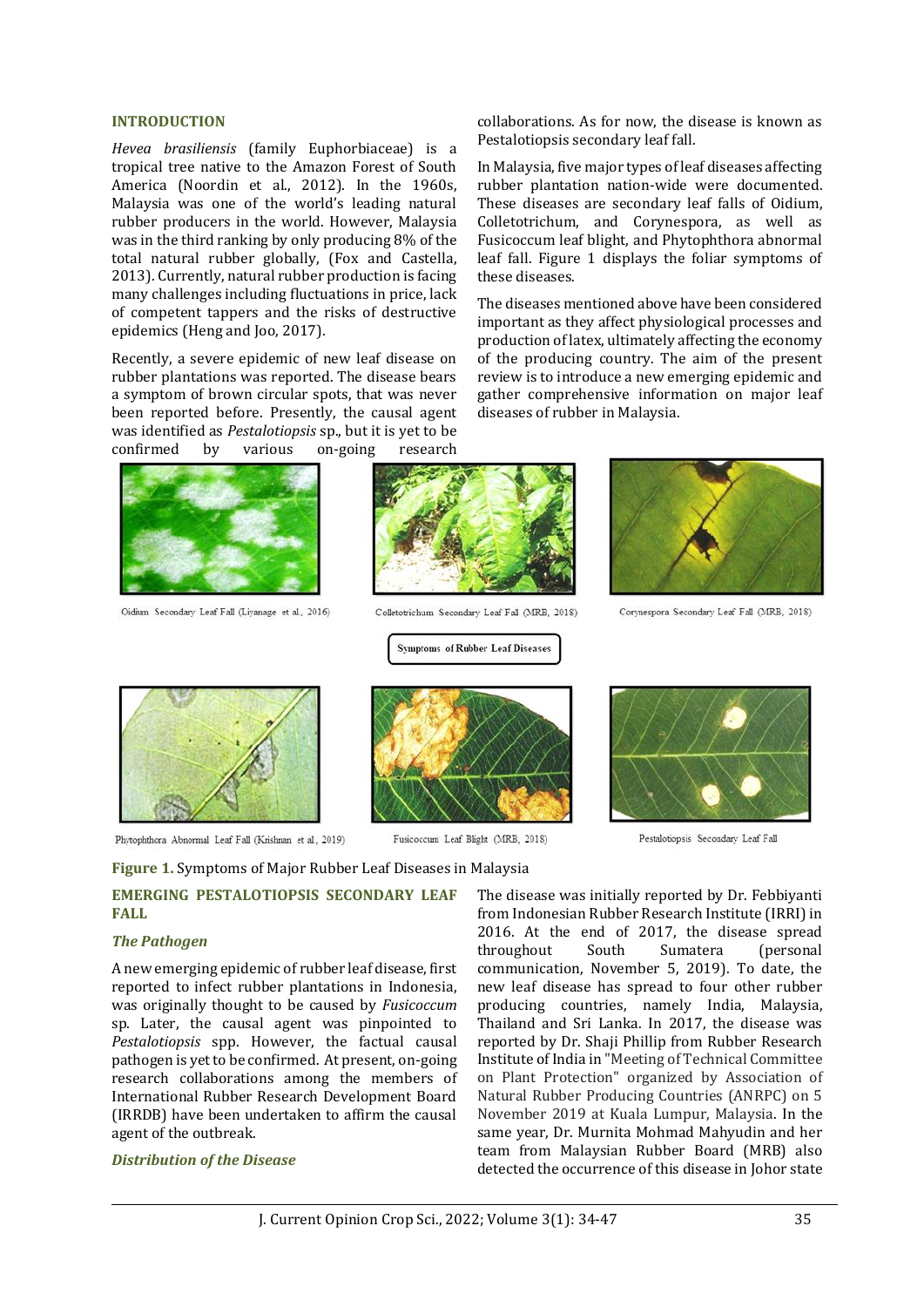#### **INTRODUCTION**

*Hevea brasiliensis* (family Euphorbiaceae) is a tropical tree native to the Amazon Forest of South America (Noordin et al., 2012). In the 1960s, Malaysia was one of the world's leading natural rubber producers in the world. However, Malaysia was in the third ranking by only producing 8% of the total natural rubber globally, (Fox and Castella, 2013). Currently, natural rubber production is facing many challenges including fluctuations in price, lack of competent tappers and the risks of destructive epidemics (Heng and Joo, 2017).

Recently, a severe epidemic of new leaf disease on rubber plantations was reported. The disease bears a symptom of brown circular spots, that was never been reported before. Presently, the causal agent was identified as *Pestalotiopsis* sp., but it is yet to be confirmed by various on-going research



Oidium Secondary Leaf Fall (Livanage et al., 2016)



Colletotrichum Secondary Leaf Fall (MRB, 2018)

**Symptoms of Rubber Leaf Diseases** 

Fusicoccum Leaf Blight (MRB, 2018)



collaborations. As for now, the disease is known as

In Malaysia, five major types of leaf diseases affecting rubber plantation nation-wide were documented. These diseases are secondary leaf falls of Oidium, Colletotrichum, and Corynespora, as well as Fusicoccum leaf blight, and Phytophthora abnormal leaf fall. Figure 1 displays the foliar symptoms of

The diseases mentioned above have been considered important as they affect physiological processes and production of latex, ultimately affecting the economy of the producing country. The aim of the present review is to introduce a new emerging epidemic and gather comprehensive information on major leaf

Pestalotiopsis secondary leaf fall.

diseases of rubber in Malaysia.

these diseases.

Corvnespora Secondary Leaf Fall (MRB, 2018)

Pestalotiopsis Secondary Leaf Fall



Phytophthora Abnormal Leaf Fall (Krishnan et al., 2019)

**Figure 1.** Symptoms of Major Rubber Leaf Diseases in Malaysia

#### **EMERGING PESTALOTIOPSIS SECONDARY LEAF FALL**

#### *The Pathogen*

A new emerging epidemic of rubber leaf disease, first reported to infect rubber plantations in Indonesia, was originally thought to be caused by *Fusicoccum* sp. Later, the causal agent was pinpointed to *Pestalotiopsis* spp. However, the factual causal pathogen is yet to be confirmed. At present, on-going research collaborations among the members of International Rubber Research Development Board (IRRDB) have been undertaken to affirm the causal agent of the outbreak.

#### *Distribution of the Disease*

The disease was initially reported by Dr. Febbiyanti from Indonesian Rubber Research Institute (IRRI) in 2016. At the end of 2017, the disease spread throughout South Sumatera (personal communication, November 5, 2019). To date, the new leaf disease has spread to four other rubber producing countries, namely India, Malaysia, Thailand and Sri Lanka. In 2017, the disease was reported by Dr. Shaji Phillip from Rubber Research Institute of India in "Meeting of Technical Committee on Plant Protection" organized by Association of Natural Rubber Producing Countries (ANRPC) on 5 November 2019 at Kuala Lumpur, Malaysia. In the same year, Dr. Murnita Mohmad Mahyudin and her team from Malaysian Rubber Board (MRB) also detected the occurrence of this disease in Johor state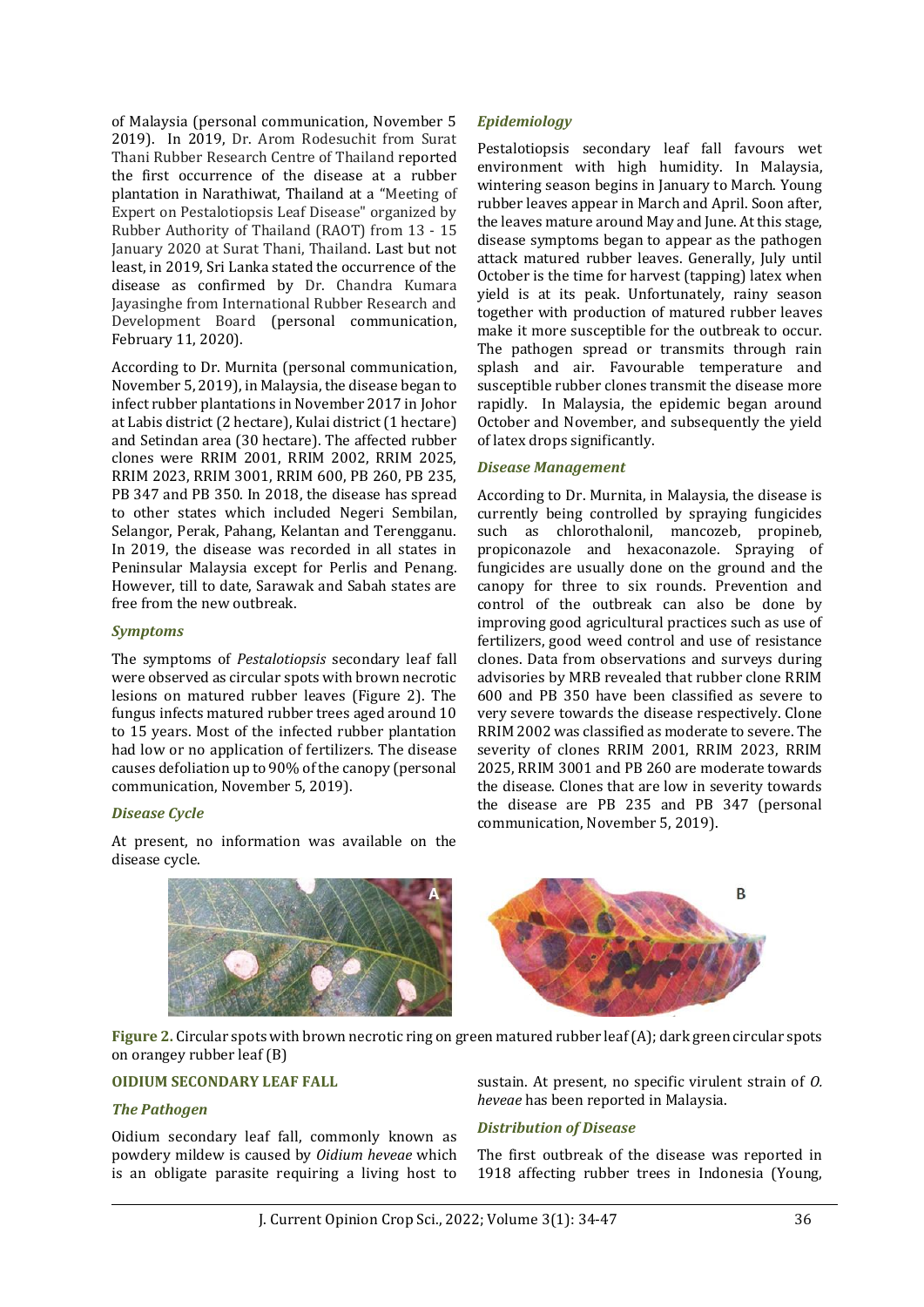of Malaysia (personal communication, November 5 2019). In 2019, Dr. Arom Rodesuchit from Surat Thani Rubber Research Centre of Thailand reported the first occurrence of the disease at a rubber plantation in Narathiwat, Thailand at a "Meeting of Expert on Pestalotiopsis Leaf Disease" organized by Rubber Authority of Thailand (RAOT) from 13 - 15 January 2020 at Surat Thani, Thailand. Last but not least, in 2019, Sri Lanka stated the occurrence of the disease as confirmed by Dr. Chandra Kumara Jayasinghe from International Rubber Research and Development Board (personal communication, February 11, 2020).

According to Dr. Murnita (personal communication, November 5, 2019), in Malaysia, the disease began to infect rubber plantations in November 2017 in Johor at Labis district (2 hectare), Kulai district (1 hectare) and Setindan area (30 hectare). The affected rubber clones were RRIM 2001, RRIM 2002, RRIM 2025, RRIM 2023, RRIM 3001, RRIM 600, PB 260, PB 235, PB 347 and PB 350. In 2018, the disease has spread to other states which included Negeri Sembilan, Selangor, Perak, Pahang, Kelantan and Terengganu. In 2019, the disease was recorded in all states in Peninsular Malaysia except for Perlis and Penang. However, till to date, Sarawak and Sabah states are free from the new outbreak.

#### *Symptoms*

The symptoms of *Pestalotiopsis* secondary leaf fall were observed as circular spots with brown necrotic lesions on matured rubber leaves (Figure 2). The fungus infects matured rubber trees aged around 10 to 15 years. Most of the infected rubber plantation had low or no application of fertilizers. The disease causes defoliation up to 90% of the canopy (personal communication, November 5, 2019).

#### *Disease Cycle*

At present, no information was available on the disease cycle.

#### *Epidemiology*

Pestalotiopsis secondary leaf fall favours wet environment with high humidity. In Malaysia, wintering season begins in January to March. Young rubber leaves appear in March and April. Soon after, the leaves mature around May and June. At this stage, disease symptoms began to appear as the pathogen attack matured rubber leaves. Generally, July until October is the time for harvest (tapping) latex when yield is at its peak. Unfortunately, rainy season together with production of matured rubber leaves make it more susceptible for the outbreak to occur. The pathogen spread or transmits through rain splash and air. Favourable temperature and susceptible rubber clones transmit the disease more rapidly. In Malaysia, the epidemic began around October and November, and subsequently the yield of latex drops significantly.

#### *Disease Management*

According to Dr. Murnita, in Malaysia, the disease is currently being controlled by spraying fungicides such as chlorothalonil, mancozeb, propineb, propiconazole and hexaconazole. Spraying of fungicides are usually done on the ground and the canopy for three to six rounds. Prevention and control of the outbreak can also be done by improving good agricultural practices such as use of fertilizers, good weed control and use of resistance clones. Data from observations and surveys during advisories by MRB revealed that rubber clone RRIM 600 and PB 350 have been classified as severe to very severe towards the disease respectively. Clone RRIM 2002 was classified as moderate to severe. The severity of clones RRIM 2001, RRIM 2023, RRIM 2025, RRIM 3001 and PB 260 are moderate towards the disease. Clones that are low in severity towards the disease are PB 235 and PB 347 (personal communication, November 5, 2019).



**Figure 2.** Circular spots with brown necrotic ring on green matured rubber leaf (A); dark green circular spots on orangey rubber leaf (B)

### **OIDIUM SECONDARY LEAF FALL**

#### *The Pathogen*

Oidium secondary leaf fall, commonly known as powdery mildew is caused by *Oidium heveae* which is an obligate parasite requiring a living host to

sustain. At present, no specific virulent strain of *O. heveae* has been reported in Malaysia.

#### *Distribution of Disease*

The first outbreak of the disease was reported in 1918 affecting rubber trees in Indonesia (Young,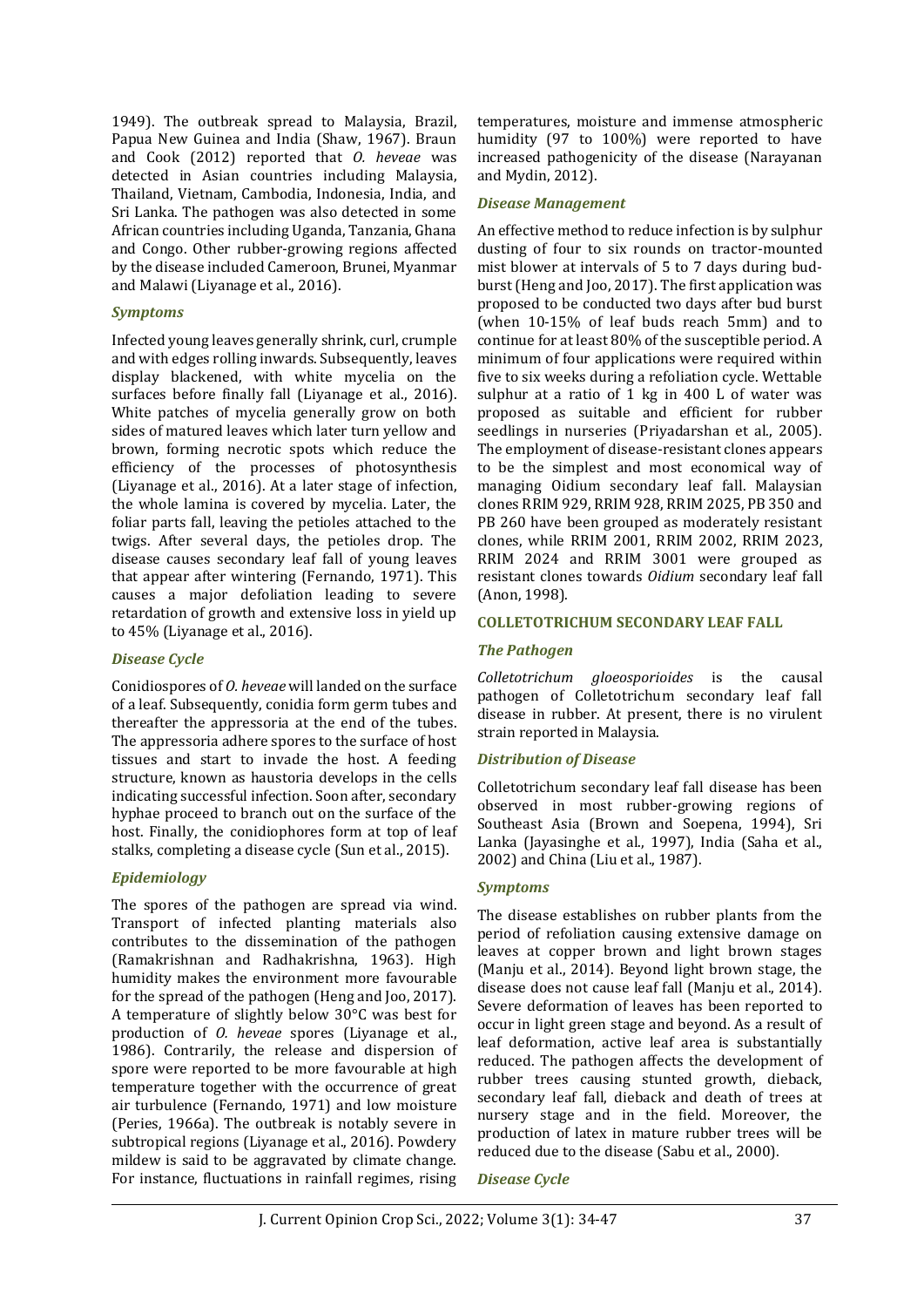1949). The outbreak spread to Malaysia, Brazil, Papua New Guinea and India (Shaw, 1967). Braun and Cook (2012) reported that *O. heveae* was detected in Asian countries including Malaysia, Thailand, Vietnam, Cambodia, Indonesia, India, and Sri Lanka. The pathogen was also detected in some African countries including Uganda, Tanzania, Ghana and Congo. Other rubber-growing regions affected by the disease included Cameroon, Brunei, Myanmar and Malawi (Liyanage et al., 2016).

#### *Symptoms*

Infected young leaves generally shrink, curl, crumple and with edges rolling inwards. Subsequently, leaves display blackened, with white mycelia on the surfaces before finally fall (Liyanage et al., 2016). White patches of mycelia generally grow on both sides of matured leaves which later turn yellow and brown, forming necrotic spots which reduce the efficiency of the processes of photosynthesis (Liyanage et al., 2016). At a later stage of infection, the whole lamina is covered by mycelia. Later, the foliar parts fall, leaving the petioles attached to the twigs. After several days, the petioles drop. The disease causes secondary leaf fall of young leaves that appear after wintering (Fernando, 1971). This causes a major defoliation leading to severe retardation of growth and extensive loss in yield up to 45% (Liyanage et al., 2016).

#### *Disease Cycle*

Conidiospores of *O. heveae* will landed on the surface of a leaf. Subsequently, conidia form germ tubes and thereafter the appressoria at the end of the tubes. The appressoria adhere spores to the surface of host tissues and start to invade the host. A feeding structure, known as haustoria develops in the cells indicating successful infection. Soon after, secondary hyphae proceed to branch out on the surface of the host. Finally, the conidiophores form at top of leaf stalks, completing a disease cycle (Sun et al., 2015).

#### *Epidemiology*

The spores of the pathogen are spread via wind. Transport of infected planting materials also contributes to the dissemination of the pathogen (Ramakrishnan and Radhakrishna, 1963). High humidity makes the environment more favourable for the spread of the pathogen (Heng and Joo, 2017). A temperature of slightly below 30°C was best for production of *O. heveae* spores (Liyanage et al., 1986). Contrarily, the release and dispersion of spore were reported to be more favourable at high temperature together with the occurrence of great air turbulence (Fernando, 1971) and low moisture (Peries, 1966a). The outbreak is notably severe in subtropical regions (Liyanage et al., 2016). Powdery mildew is said to be aggravated by climate change. For instance, fluctuations in rainfall regimes, rising temperatures, moisture and immense atmospheric humidity (97 to 100%) were reported to have increased pathogenicity of the disease (Narayanan and Mydin, 2012).

#### *Disease Management*

An effective method to reduce infection is by sulphur dusting of four to six rounds on tractor-mounted mist blower at intervals of 5 to 7 days during budburst (Heng and Joo, 2017). The first application was proposed to be conducted two days after bud burst (when 10-15% of leaf buds reach 5mm) and to continue for at least 80% of the susceptible period. A minimum of four applications were required within five to six weeks during a refoliation cycle. Wettable sulphur at a ratio of 1 kg in 400 L of water was proposed as suitable and efficient for rubber seedlings in nurseries (Priyadarshan et al., 2005). The employment of disease-resistant clones appears to be the simplest and most economical way of managing Oidium secondary leaf fall. Malaysian clones RRIM 929, RRIM 928, RRIM 2025, PB 350 and PB 260 have been grouped as moderately resistant clones, while RRIM 2001, RRIM 2002, RRIM 2023, RRIM 2024 and RRIM 3001 were grouped as resistant clones towards *Oidium* secondary leaf fall (Anon, 1998).

#### **COLLETOTRICHUM SECONDARY LEAF FALL**

#### *The Pathogen*

*Colletotrichum gloeosporioides* is the causal pathogen of Colletotrichum secondary leaf fall disease in rubber. At present, there is no virulent strain reported in Malaysia.

#### *Distribution of Disease*

Colletotrichum secondary leaf fall disease has been observed in most rubber-growing regions of Southeast Asia (Brown and Soepena, 1994), Sri Lanka (Jayasinghe et al., 1997), India (Saha et al., 2002) and China (Liu et al., 1987).

#### *Symptoms*

The disease establishes on rubber plants from the period of refoliation causing extensive damage on leaves at copper brown and light brown stages (Manju et al., 2014). Beyond light brown stage, the disease does not cause leaf fall (Manju et al., 2014). Severe deformation of leaves has been reported to occur in light green stage and beyond. As a result of leaf deformation, active leaf area is substantially reduced. The pathogen affects the development of rubber trees causing stunted growth, dieback, secondary leaf fall, dieback and death of trees at nursery stage and in the field. Moreover, the production of latex in mature rubber trees will be reduced due to the disease (Sabu et al., 2000).

*Disease Cycle*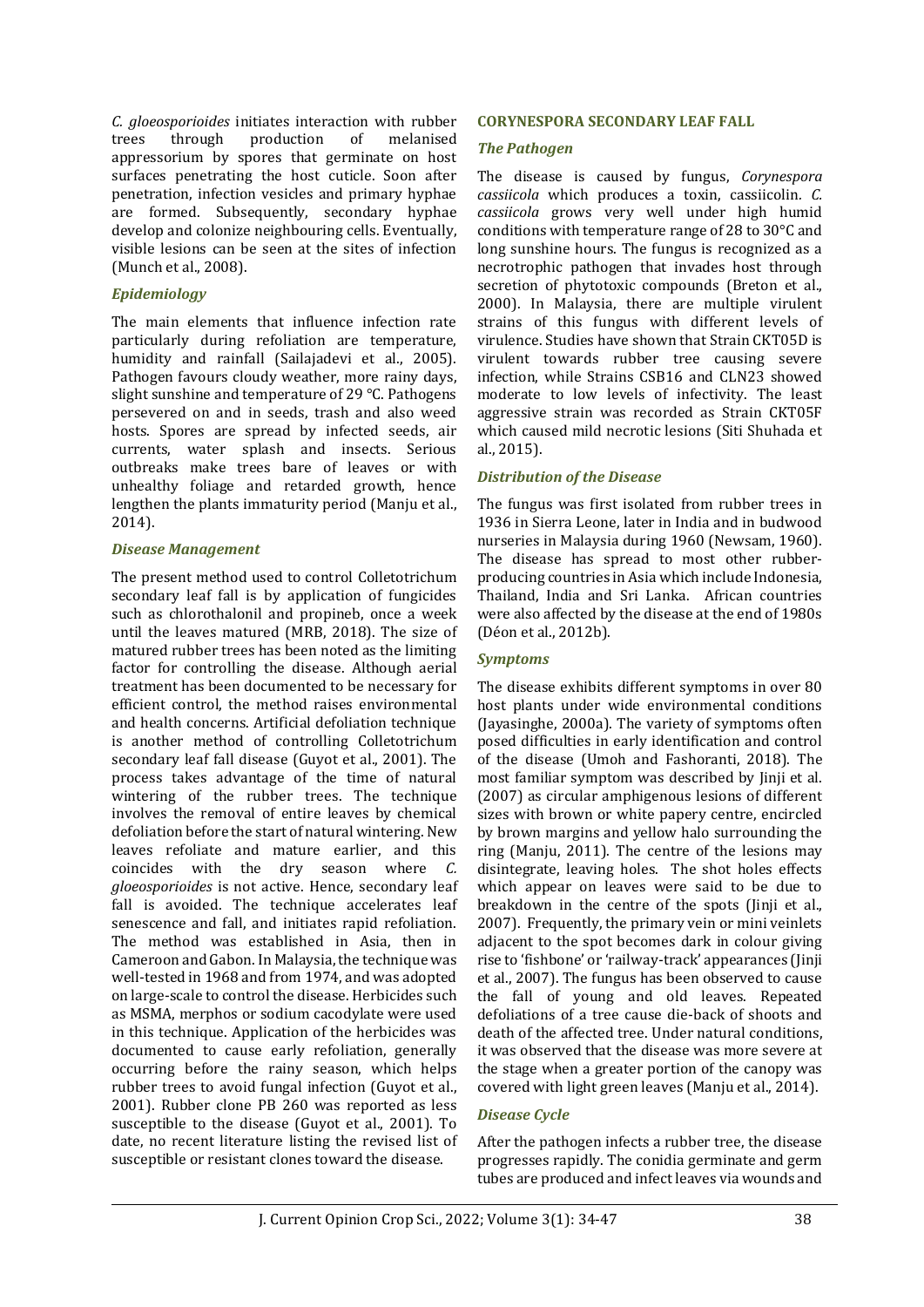*C. gloeosporioides* initiates interaction with rubber trees through production of melanised appressorium by spores that germinate on host surfaces penetrating the host cuticle. Soon after penetration, infection vesicles and primary hyphae are formed. Subsequently, secondary hyphae develop and colonize neighbouring cells. Eventually, visible lesions can be seen at the sites of infection (Munch et al., 2008).

#### *Epidemiology*

The main elements that influence infection rate particularly during refoliation are temperature, humidity and rainfall (Sailajadevi et al., 2005). Pathogen favours cloudy weather, more rainy days, slight sunshine and temperature of 29 °C. Pathogens persevered on and in seeds, trash and also weed hosts. Spores are spread by infected seeds, air currents, water splash and insects. Serious outbreaks make trees bare of leaves or with unhealthy foliage and retarded growth, hence lengthen the plants immaturity period (Manju et al., 2014).

#### *Disease Management*

The present method used to control Colletotrichum secondary leaf fall is by application of fungicides such as chlorothalonil and propineb, once a week until the leaves matured (MRB, 2018). The size of matured rubber trees has been noted as the limiting factor for controlling the disease. Although aerial treatment has been documented to be necessary for efficient control, the method raises environmental and health concerns. Artificial defoliation technique is another method of controlling Colletotrichum secondary leaf fall disease (Guyot et al., 2001). The process takes advantage of the time of natural wintering of the rubber trees. The technique involves the removal of entire leaves by chemical defoliation before the start of natural wintering. New leaves refoliate and mature earlier, and this coincides with the dry season where *C. gloeosporioides* is not active. Hence, secondary leaf fall is avoided. The technique accelerates leaf senescence and fall, and initiates rapid refoliation. The method was established in Asia, then in Cameroon and Gabon. In Malaysia, the technique was well-tested in 1968 and from 1974, and was adopted on large-scale to control the disease. Herbicides such as MSMA, merphos or sodium cacodylate were used in this technique. Application of the herbicides was documented to cause early refoliation, generally occurring before the rainy season, which helps rubber trees to avoid fungal infection (Guyot et al., 2001). Rubber clone PB 260 was reported as less susceptible to the disease (Guyot et al., 2001). To date, no recent literature listing the revised list of susceptible or resistant clones toward the disease.

#### **CORYNESPORA SECONDARY LEAF FALL**

#### *The Pathogen*

The disease is caused by fungus, *Corynespora cassiicola* which produces a toxin, cassiicolin*. C. cassiicola* grows very well under high humid conditions with temperature range of 28 to 30°C and long sunshine hours. The fungus is recognized as a necrotrophic pathogen that invades host through secretion of phytotoxic compounds (Breton et al., 2000). In Malaysia, there are multiple virulent strains of this fungus with different levels of virulence. Studies have shown that Strain CKT05D is virulent towards rubber tree causing severe infection, while Strains CSB16 and CLN23 showed moderate to low levels of infectivity. The least aggressive strain was recorded as Strain CKT05F which caused mild necrotic lesions (Siti Shuhada et al., 2015).

#### *Distribution of the Disease*

The fungus was first isolated from rubber trees in 1936 in Sierra Leone, later in India and in budwood nurseries in Malaysia during 1960 (Newsam, 1960). The disease has spread to most other rubberproducing countries in Asia which include Indonesia, Thailand, India and Sri Lanka. African countries were also affected by the disease at the end of 1980s (Déon et al., 2012b).

#### *Symptoms*

The disease exhibits different symptoms in over 80 host plants under wide environmental conditions (Jayasinghe, 2000a). The variety of symptoms often posed difficulties in early identification and control of the disease (Umoh and Fashoranti, 2018). The most familiar symptom was described by Jinji et al. (2007) as circular amphigenous lesions of different sizes with brown or white papery centre, encircled by brown margins and yellow halo surrounding the ring (Manju, 2011). The centre of the lesions may disintegrate, leaving holes. The shot holes effects which appear on leaves were said to be due to breakdown in the centre of the spots (Jinji et al., 2007). Frequently, the primary vein or mini veinlets adjacent to the spot becomes dark in colour giving rise to 'fishbone' or 'railway-track' appearances (Jinji et al., 2007). The fungus has been observed to cause the fall of young and old leaves. Repeated defoliations of a tree cause die-back of shoots and death of the affected tree. Under natural conditions, it was observed that the disease was more severe at the stage when a greater portion of the canopy was covered with light green leaves (Manju et al., 2014).

#### *Disease Cycle*

After the pathogen infects a rubber tree, the disease progresses rapidly. The conidia germinate and germ tubes are produced and infect leaves via wounds and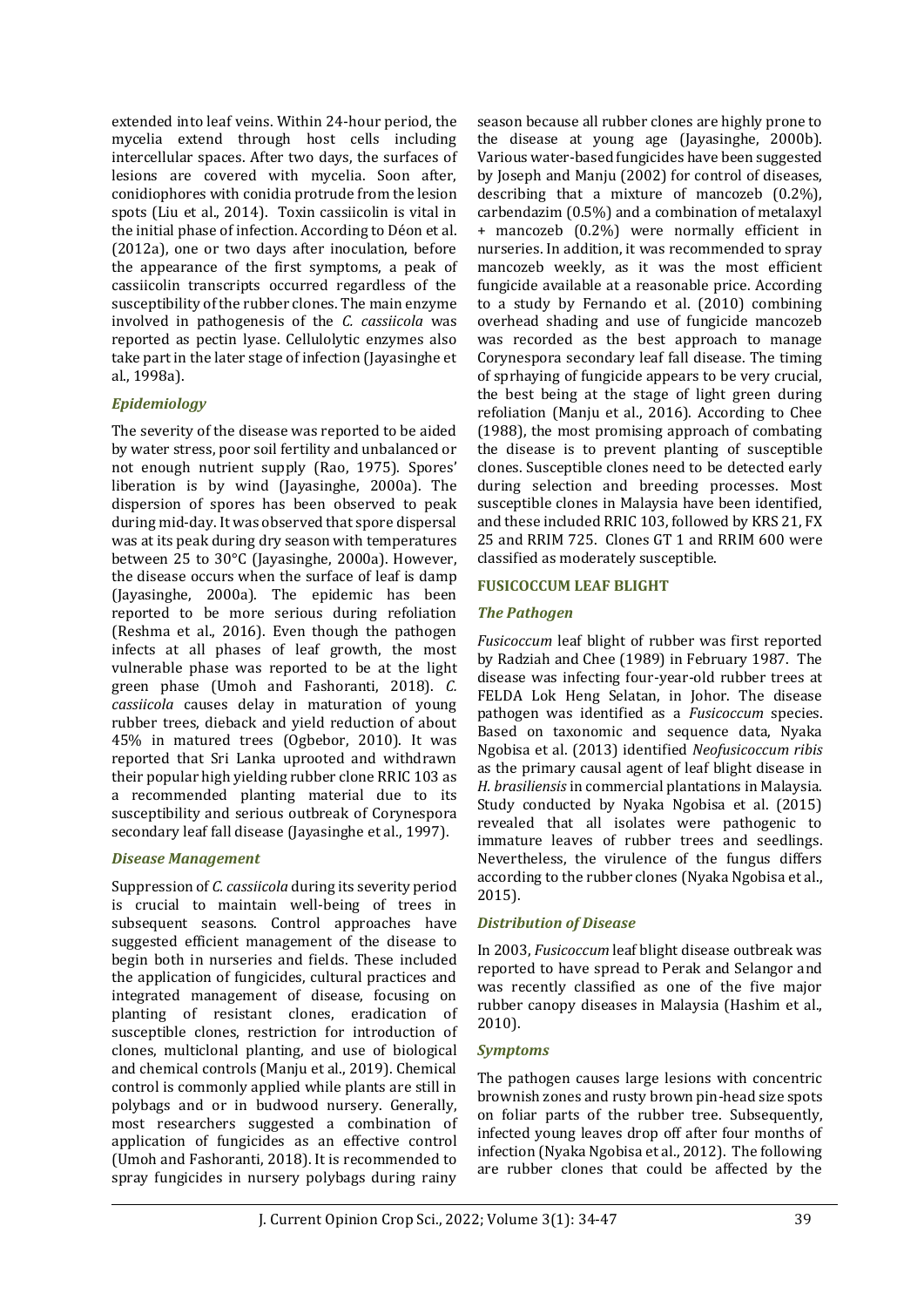extended into leaf veins. Within 24-hour period, the mycelia extend through host cells including intercellular spaces. After two days, the surfaces of lesions are covered with mycelia. Soon after, conidiophores with conidia protrude from the lesion spots (Liu et al., 2014). Toxin cassiicolin is vital in the initial phase of infection. According to Déon et al. (2012a), one or two days after inoculation, before the appearance of the first symptoms, a peak of cassiicolin transcripts occurred regardless of the susceptibility of the rubber clones. The main enzyme involved in pathogenesis of the *C. cassiicola* was reported as pectin lyase. Cellulolytic enzymes also take part in the later stage of infection (Jayasinghe et al., 1998a).

#### *Epidemiology*

The severity of the disease was reported to be aided by water stress, poor soil fertility and unbalanced or not enough nutrient supply (Rao, 1975). Spores' liberation is by wind (Jayasinghe, 2000a). The dispersion of spores has been observed to peak during mid-day. It was observed that spore dispersal was at its peak during dry season with temperatures between 25 to 30°C (Jayasinghe, 2000a). However, the disease occurs when the surface of leaf is damp (Jayasinghe, 2000a). The epidemic has been reported to be more serious during refoliation (Reshma et al., 2016). Even though the pathogen infects at all phases of leaf growth, the most vulnerable phase was reported to be at the light green phase (Umoh and Fashoranti, 2018). *C. cassiicola* causes delay in maturation of young rubber trees, dieback and yield reduction of about 45% in matured trees (Ogbebor, 2010). It was reported that Sri Lanka uprooted and withdrawn their popular high yielding rubber clone RRIC 103 as a recommended planting material due to its susceptibility and serious outbreak of Corynespora secondary leaf fall disease (Jayasinghe et al., 1997).

#### *Disease Management*

Suppression of *C. cassiicola* during its severity period is crucial to maintain well-being of trees in subsequent seasons. Control approaches have suggested efficient management of the disease to begin both in nurseries and fields. These included the application of fungicides, cultural practices and integrated management of disease, focusing on planting of resistant clones, eradication of susceptible clones, restriction for introduction of clones, multiclonal planting, and use of biological and chemical controls (Manju et al., 2019). Chemical control is commonly applied while plants are still in polybags and or in budwood nursery. Generally, most researchers suggested a combination of application of fungicides as an effective control (Umoh and Fashoranti, 2018). It is recommended to spray fungicides in nursery polybags during rainy

season because all rubber clones are highly prone to the disease at young age (Jayasinghe, 2000b). Various water-based fungicides have been suggested by Joseph and Manju (2002) for control of diseases, describing that a mixture of mancozeb (0.2%), carbendazim (0.5%) and a combination of metalaxyl + mancozeb (0.2%) were normally efficient in nurseries. In addition, it was recommended to spray mancozeb weekly, as it was the most efficient fungicide available at a reasonable price. According to a study by Fernando et al. (2010) combining overhead shading and use of fungicide mancozeb was recorded as the best approach to manage Corynespora secondary leaf fall disease. The timing of sprhaying of fungicide appears to be very crucial, the best being at the stage of light green during refoliation (Manju et al., 2016). According to Chee (1988), the most promising approach of combating the disease is to prevent planting of susceptible clones. Susceptible clones need to be detected early during selection and breeding processes. Most susceptible clones in Malaysia have been identified, and these included RRIC 103, followed by KRS 21, FX 25 and RRIM 725. Clones GT 1 and RRIM 600 were classified as moderately susceptible.

#### **FUSICOCCUM LEAF BLIGHT**

#### *The Pathogen*

*Fusicoccum* leaf blight of rubber was first reported by Radziah and Chee (1989) in February 1987. The disease was infecting four-year-old rubber trees at FELDA Lok Heng Selatan, in Johor. The disease pathogen was identified as a *Fusicoccum* species. Based on taxonomic and sequence data, Nyaka Ngobisa et al. (2013) identified *Neofusicoccum ribis* as the primary causal agent of leaf blight disease in *H. brasiliensis* in commercial plantations in Malaysia. Study conducted by Nyaka Ngobisa et al. (2015) revealed that all isolates were pathogenic to immature leaves of rubber trees and seedlings. Nevertheless, the virulence of the fungus differs according to the rubber clones (Nyaka Ngobisa et al., 2015).

#### *Distribution of Disease*

In 2003, *Fusicoccum* leaf blight disease outbreak was reported to have spread to Perak and Selangor and was recently classified as one of the five major rubber canopy diseases in Malaysia (Hashim et al., 2010).

#### *Symptoms*

The pathogen causes large lesions with concentric brownish zones and rusty brown pin-head size spots on foliar parts of the rubber tree. Subsequently, infected young leaves drop off after four months of infection (Nyaka Ngobisa et al., 2012). The following are rubber clones that could be affected by the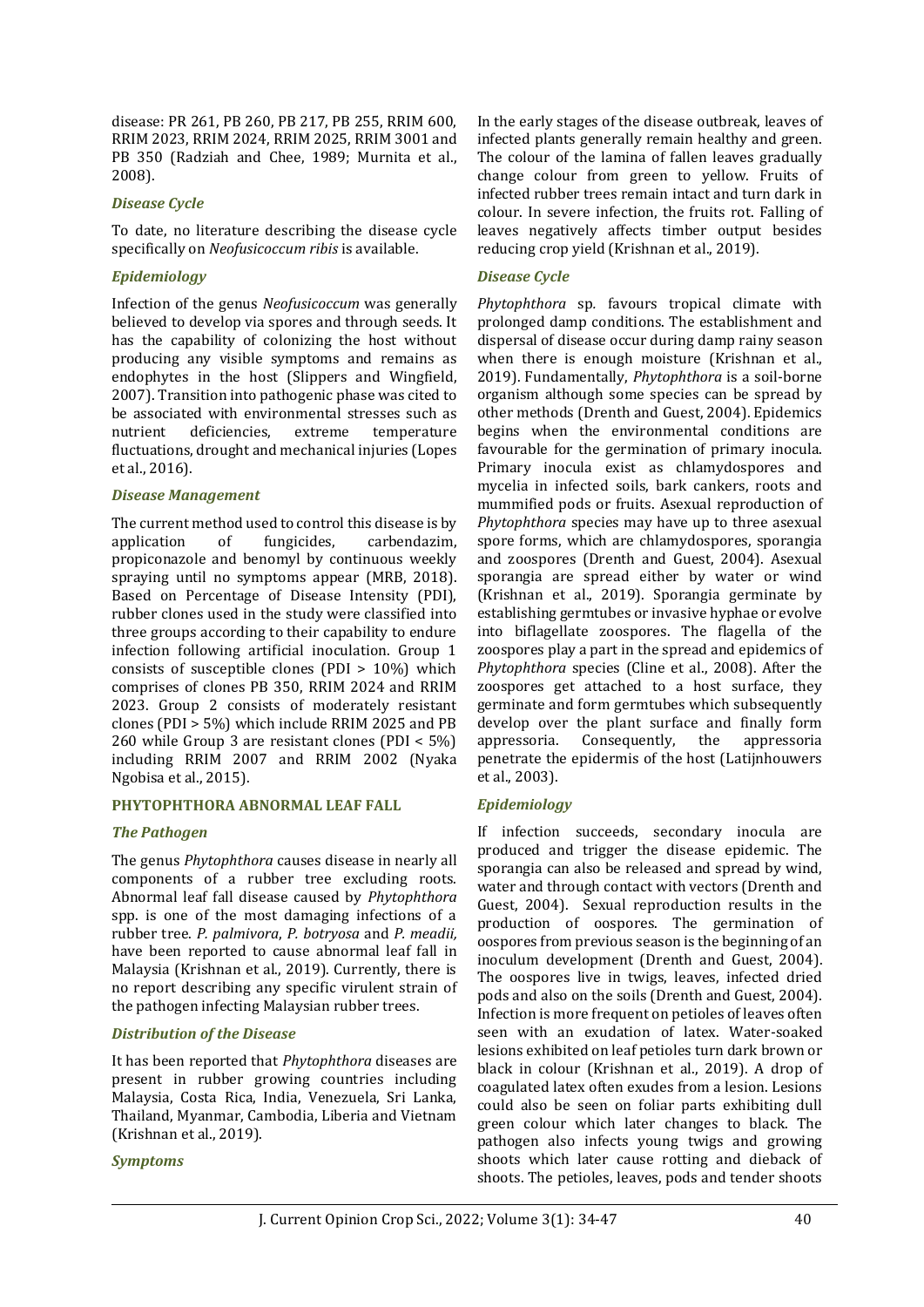disease: PR 261, PB 260, PB 217, PB 255, RRIM 600, RRIM 2023, RRIM 2024, RRIM 2025, RRIM 3001 and PB 350 (Radziah and Chee, 1989; Murnita et al., 2008).

#### *Disease Cycle*

To date, no literature describing the disease cycle specifically on *Neofusicoccum ribis* is available.

#### *Epidemiology*

Infection of the genus *Neofusicoccum* was generally believed to develop via spores and through seeds. It has the capability of colonizing the host without producing any visible symptoms and remains as endophytes in the host (Slippers and Wingfield, 2007). Transition into pathogenic phase was cited to be associated with environmental stresses such as nutrient deficiencies, extreme temperature fluctuations, drought and mechanical injuries (Lopes et al., 2016).

#### *Disease Management*

The current method used to control this disease is by application of fungicides, carbendazim, propiconazole and benomyl by continuous weekly spraying until no symptoms appear (MRB, 2018). Based on Percentage of Disease Intensity (PDI), rubber clones used in the study were classified into three groups according to their capability to endure infection following artificial inoculation. Group 1 consists of susceptible clones (PDI > 10%) which comprises of clones PB 350, RRIM 2024 and RRIM 2023. Group 2 consists of moderately resistant clones (PDI > 5%) which include RRIM 2025 and PB 260 while Group 3 are resistant clones (PDI < 5%) including RRIM 2007 and RRIM 2002 (Nyaka Ngobisa et al., 2015).

#### **PHYTOPHTHORA ABNORMAL LEAF FALL**

#### *The Pathogen*

The genus *Phytophthora* causes disease in nearly all components of a rubber tree excluding roots. Abnormal leaf fall disease caused by *Phytophthora* spp. is one of the most damaging infections of a rubber tree. *P. palmivora*, *P. botryosa* and *P. meadii,*  have been reported to cause abnormal leaf fall in Malaysia (Krishnan et al., 2019). Currently, there is no report describing any specific virulent strain of the pathogen infecting Malaysian rubber trees.

#### *Distribution of the Disease*

It has been reported that *Phytophthora* diseases are present in rubber growing countries including Malaysia, Costa Rica, India, Venezuela, Sri Lanka, Thailand, Myanmar, Cambodia, Liberia and Vietnam (Krishnan et al., 2019).

#### *Symptoms*

In the early stages of the disease outbreak, leaves of infected plants generally remain healthy and green. The colour of the lamina of fallen leaves gradually change colour from green to yellow. Fruits of infected rubber trees remain intact and turn dark in colour. In severe infection, the fruits rot. Falling of leaves negatively affects timber output besides reducing crop yield (Krishnan et al., 2019).

#### *Disease Cycle*

*Phytophthora* sp*.* favours tropical climate with prolonged damp conditions. The establishment and dispersal of disease occur during damp rainy season when there is enough moisture (Krishnan et al., 2019). Fundamentally, *Phytophthora* is a soil-borne organism although some species can be spread by other methods (Drenth and Guest, 2004). Epidemics begins when the environmental conditions are favourable for the germination of primary inocula. Primary inocula exist as chlamydospores and mycelia in infected soils, bark cankers, roots and mummified pods or fruits. Asexual reproduction of *Phytophthora* species may have up to three asexual spore forms, which are chlamydospores, sporangia and zoospores (Drenth and Guest, 2004). Asexual sporangia are spread either by water or wind (Krishnan et al., 2019). Sporangia germinate by establishing germtubes or invasive hyphae or evolve into biflagellate zoospores. The flagella of the zoospores play a part in the spread and epidemics of *Phytophthora* species (Cline et al., 2008). After the zoospores get attached to a host surface, they germinate and form germtubes which subsequently develop over the plant surface and finally form appressoria. Consequently, the appressoria penetrate the epidermis of the host (Latijnhouwers et al., 2003).

#### *Epidemiology*

If infection succeeds, secondary inocula are produced and trigger the disease epidemic. The sporangia can also be released and spread by wind, water and through contact with vectors (Drenth and Guest, 2004). Sexual reproduction results in the production of oospores. The germination of oospores from previous season is the beginning of an inoculum development (Drenth and Guest, 2004). The oospores live in twigs, leaves, infected dried pods and also on the soils (Drenth and Guest, 2004). Infection is more frequent on petioles of leaves often seen with an exudation of latex. Water-soaked lesions exhibited on leaf petioles turn dark brown or black in colour (Krishnan et al., 2019). A drop of coagulated latex often exudes from a lesion. Lesions could also be seen on foliar parts exhibiting dull green colour which later changes to black. The pathogen also infects young twigs and growing shoots which later cause rotting and dieback of shoots. The petioles, leaves, pods and tender shoots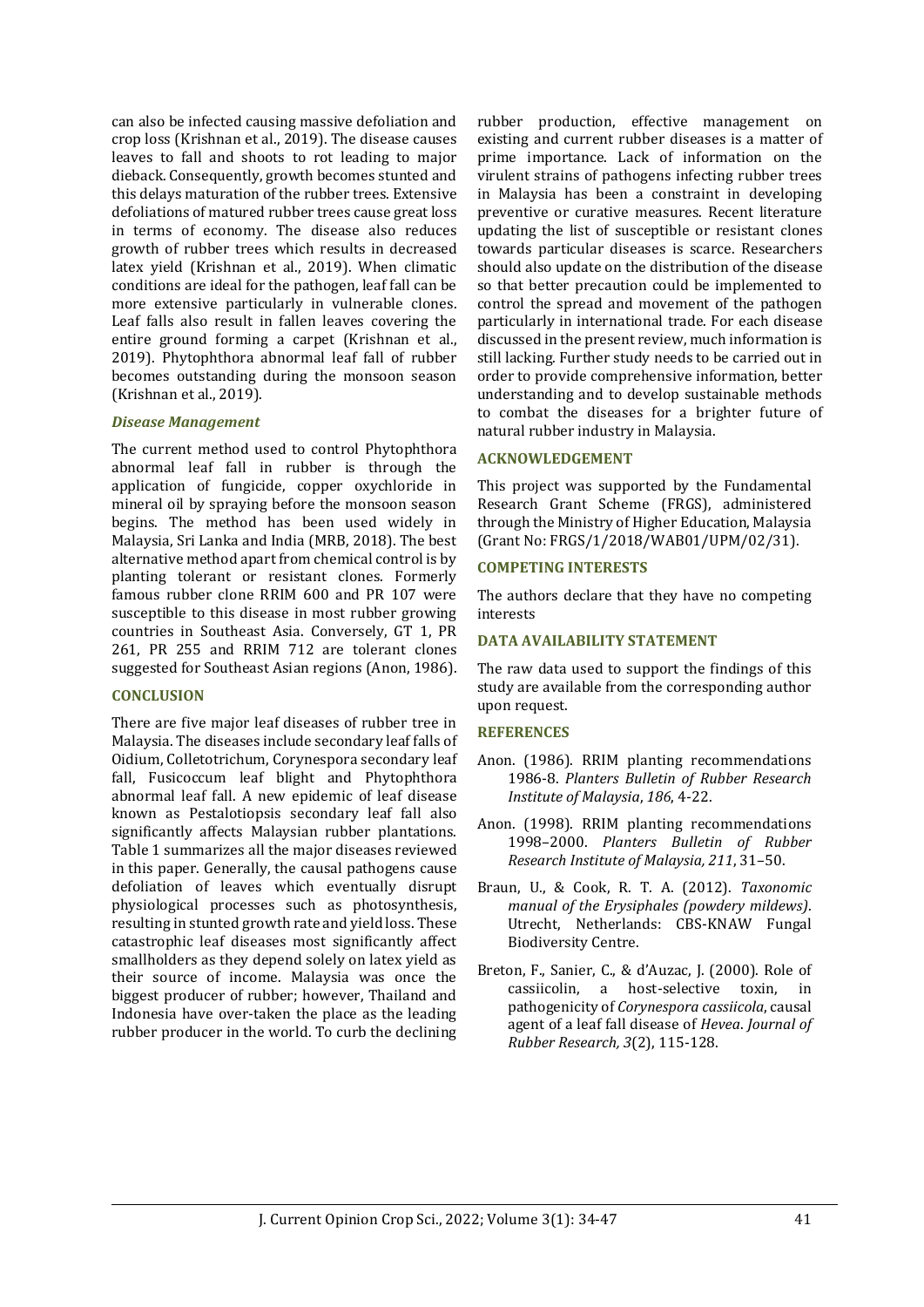can also be infected causing massive defoliation and crop loss (Krishnan et al., 2019). The disease causes leaves to fall and shoots to rot leading to major dieback. Consequently, growth becomes stunted and this delays maturation of the rubber trees. Extensive defoliations of matured rubber trees cause great loss in terms of economy. The disease also reduces growth of rubber trees which results in decreased latex yield (Krishnan et al., 2019). When climatic conditions are ideal for the pathogen, leaf fall can be more extensive particularly in vulnerable clones. Leaf falls also result in fallen leaves covering the entire ground forming a carpet (Krishnan et al., 2019). Phytophthora abnormal leaf fall of rubber becomes outstanding during the monsoon season (Krishnan et al., 2019).

#### *Disease Management*

The current method used to control Phytophthora abnormal leaf fall in rubber is through the application of fungicide, copper oxychloride in mineral oil by spraying before the monsoon season begins. The method has been used widely in Malaysia, Sri Lanka and India (MRB, 2018). The best alternative method apart from chemical control is by planting tolerant or resistant clones. Formerly famous rubber clone RRIM 600 and PR 107 were susceptible to this disease in most rubber growing countries in Southeast Asia. Conversely, GT 1, PR 261, PR 255 and RRIM 712 are tolerant clones suggested for Southeast Asian regions (Anon, 1986).

#### **CONCLUSION**

There are five major leaf diseases of rubber tree in Malaysia. The diseases include secondary leaf falls of Oidium, Colletotrichum, Corynespora secondary leaf fall, Fusicoccum leaf blight and Phytophthora abnormal leaf fall. A new epidemic of leaf disease known as Pestalotiopsis secondary leaf fall also significantly affects Malaysian rubber plantations. Table 1 summarizes all the major diseases reviewed in this paper. Generally, the causal pathogens cause defoliation of leaves which eventually disrupt physiological processes such as photosynthesis, resulting in stunted growth rate and yield loss. These catastrophic leaf diseases most significantly affect smallholders as they depend solely on latex yield as their source of income. Malaysia was once the biggest producer of rubber; however, Thailand and Indonesia have over-taken the place as the leading rubber producer in the world. To curb the declining

rubber production, effective management on existing and current rubber diseases is a matter of prime importance. Lack of information on the virulent strains of pathogens infecting rubber trees in Malaysia has been a constraint in developing preventive or curative measures. Recent literature updating the list of susceptible or resistant clones towards particular diseases is scarce. Researchers should also update on the distribution of the disease so that better precaution could be implemented to control the spread and movement of the pathogen particularly in international trade. For each disease discussed in the present review, much information is still lacking. Further study needs to be carried out in order to provide comprehensive information, better understanding and to develop sustainable methods to combat the diseases for a brighter future of natural rubber industry in Malaysia.

#### **ACKNOWLEDGEMENT**

This project was supported by the Fundamental Research Grant Scheme (FRGS), administered through the Ministry of Higher Education, Malaysia (Grant No: FRGS/1/2018/WAB01/UPM/02/31).

#### **COMPETING INTERESTS**

The authors declare that they have no competing interests

#### **DATA AVAILABILITY STATEMENT**

The raw data used to support the findings of this study are available from the corresponding author upon request.

#### **REFERENCES**

- Anon. (1986). RRIM planting recommendations 1986-8. *Planters Bulletin of Rubber Research Institute of Malaysia*, *186*, 4-22.
- Anon. (1998). RRIM planting recommendations 1998–2000. *Planters Bulletin of Rubber Research Institute of Malaysia, 211*, 31–50.
- Braun, U., & Cook, R. T. A. (2012). *Taxonomic manual of the Erysiphales (powdery mildews)*. Utrecht, Netherlands: CBS-KNAW Fungal Biodiversity Centre.
- Breton, F., Sanier, C., & d'Auzac, J. (2000). Role of cassiicolin, a host-selective toxin, in pathogenicity of *Corynespora cassiicola*, causal agent of a leaf fall disease of *Hevea*. *Journal of Rubber Research, 3*(2), 115-128.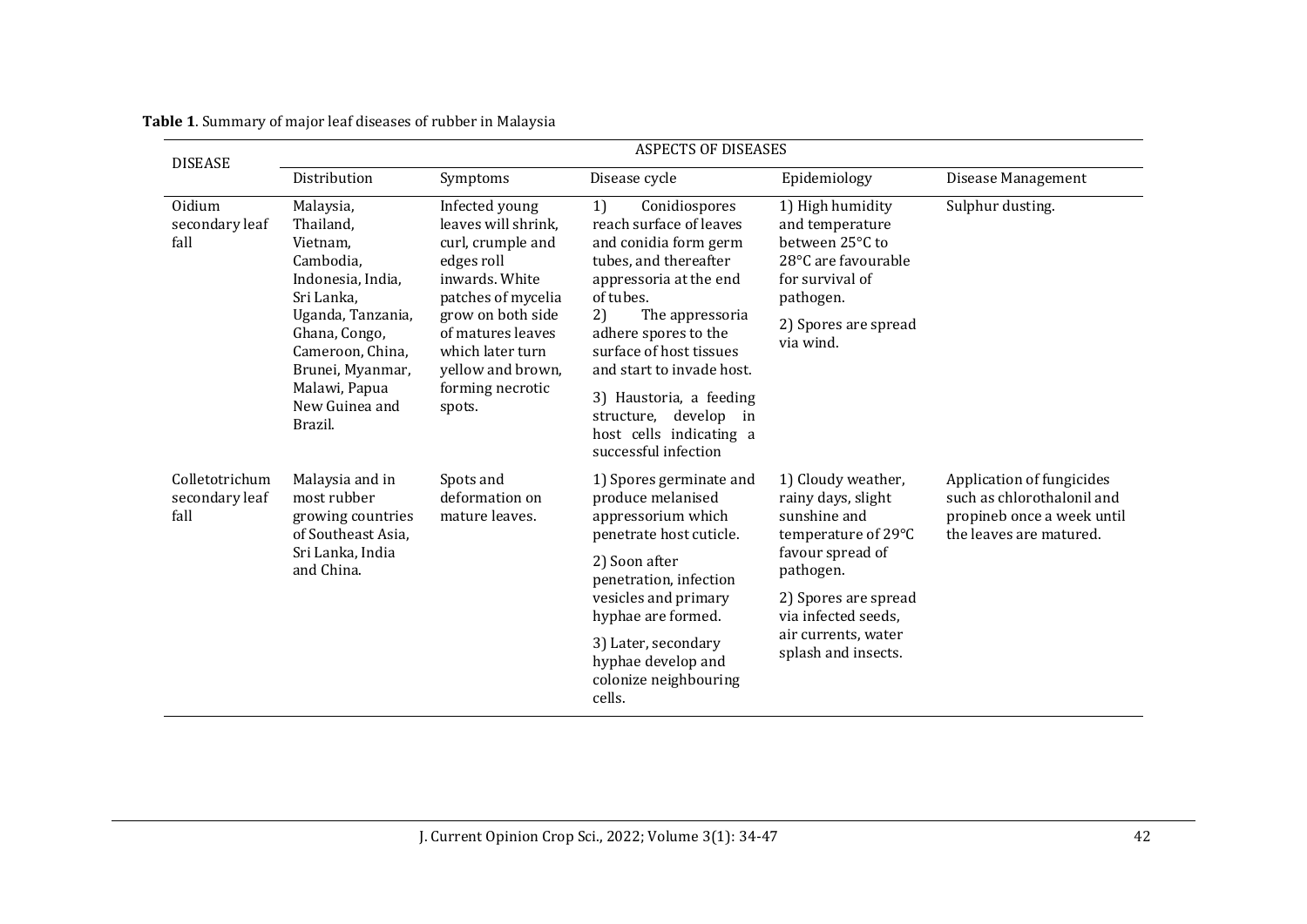| <b>DISEASE</b>                           | <b>ASPECTS OF DISEASES</b>                                                                                                                                                                                     |                                                                                                                                                                                                                                   |                                                                                                                                                                                                                                                                                                      |                                                                                                                                                                                                               |                                                                                                                  |  |
|------------------------------------------|----------------------------------------------------------------------------------------------------------------------------------------------------------------------------------------------------------------|-----------------------------------------------------------------------------------------------------------------------------------------------------------------------------------------------------------------------------------|------------------------------------------------------------------------------------------------------------------------------------------------------------------------------------------------------------------------------------------------------------------------------------------------------|---------------------------------------------------------------------------------------------------------------------------------------------------------------------------------------------------------------|------------------------------------------------------------------------------------------------------------------|--|
|                                          | Distribution                                                                                                                                                                                                   | Symptoms                                                                                                                                                                                                                          | Disease cycle                                                                                                                                                                                                                                                                                        | Epidemiology                                                                                                                                                                                                  | Disease Management                                                                                               |  |
| Oidium<br>secondary leaf<br>fall         | Malaysia,<br>Thailand,<br>Vietnam.<br>Cambodia,<br>Indonesia, India,<br>Sri Lanka,<br>Uganda, Tanzania,<br>Ghana, Congo,<br>Cameroon, China,<br>Brunei, Myanmar,<br>Malawi, Papua<br>New Guinea and<br>Brazil. | Infected young<br>leaves will shrink.<br>curl, crumple and<br>edges roll<br>inwards. White<br>patches of mycelia<br>grow on both side<br>of matures leaves<br>which later turn<br>yellow and brown,<br>forming necrotic<br>spots. | Conidiospores<br>1)<br>reach surface of leaves<br>and conidia form germ<br>tubes, and thereafter<br>appressoria at the end<br>of tubes.<br>2)<br>The appressoria<br>adhere spores to the<br>surface of host tissues<br>and start to invade host.<br>3) Haustoria, a feeding<br>structure, develop in | 1) High humidity<br>and temperature<br>between 25°C to<br>28°C are favourable<br>for survival of<br>pathogen.<br>2) Spores are spread<br>via wind.                                                            | Sulphur dusting.                                                                                                 |  |
| Colletotrichum<br>secondary leaf<br>fall | Malaysia and in<br>most rubber<br>growing countries<br>of Southeast Asia.<br>Sri Lanka, India<br>and China.                                                                                                    | Spots and<br>deformation on<br>mature leaves.                                                                                                                                                                                     | host cells indicating a<br>successful infection<br>1) Spores germinate and<br>produce melanised<br>appressorium which<br>penetrate host cuticle.                                                                                                                                                     | 1) Cloudy weather,<br>rainy days, slight<br>sunshine and<br>temperature of 29°C<br>favour spread of<br>pathogen.<br>2) Spores are spread<br>via infected seeds,<br>air currents, water<br>splash and insects. | Application of fungicides<br>such as chlorothalonil and<br>propineb once a week until<br>the leaves are matured. |  |
|                                          |                                                                                                                                                                                                                |                                                                                                                                                                                                                                   | 2) Soon after<br>penetration, infection<br>vesicles and primary<br>hyphae are formed.                                                                                                                                                                                                                |                                                                                                                                                                                                               |                                                                                                                  |  |
|                                          |                                                                                                                                                                                                                |                                                                                                                                                                                                                                   | 3) Later, secondary<br>hyphae develop and<br>colonize neighbouring<br>cells.                                                                                                                                                                                                                         |                                                                                                                                                                                                               |                                                                                                                  |  |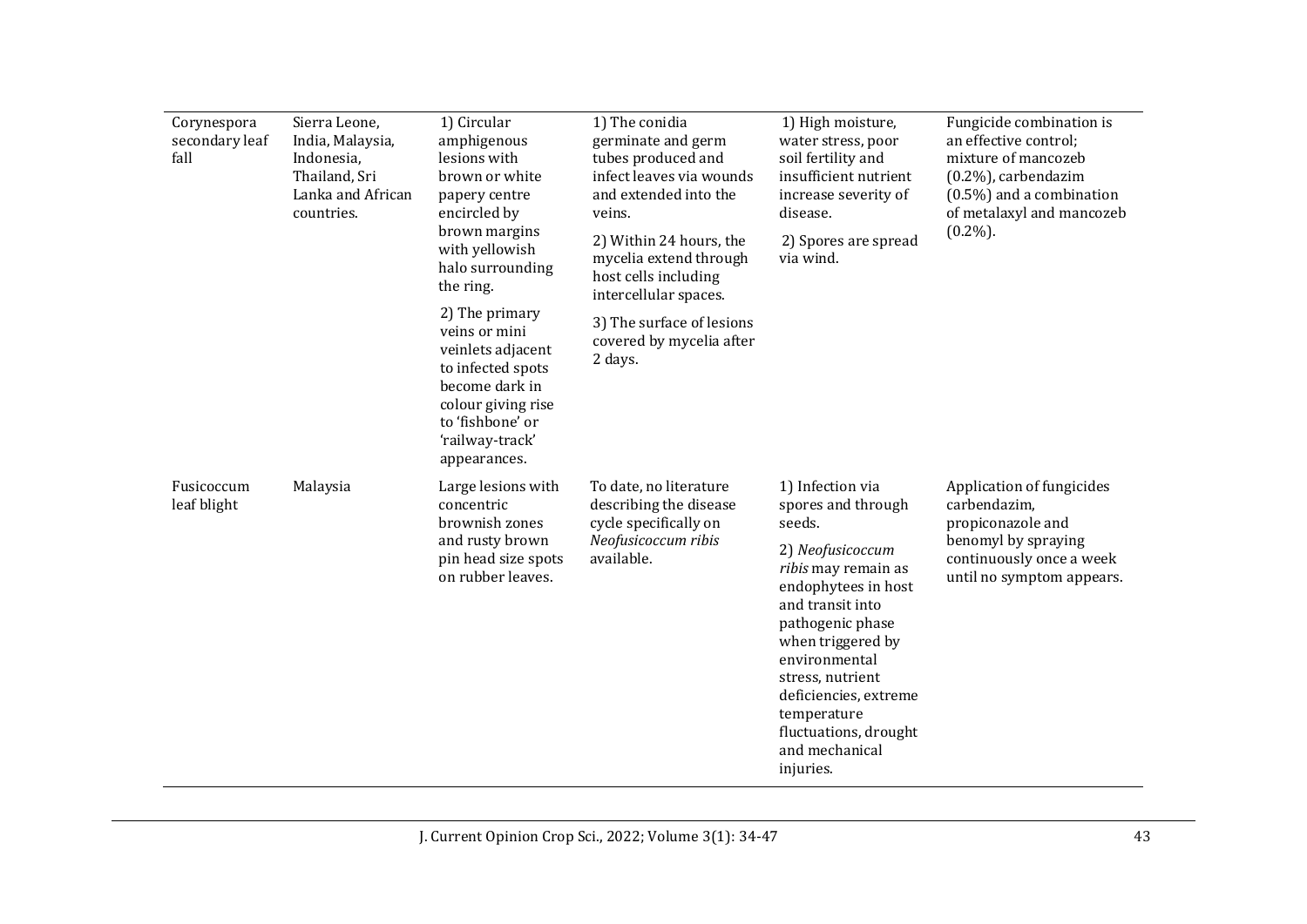| Corynespora<br>secondary leaf<br>fall | Sierra Leone,<br>India, Malaysia,<br>Indonesia,<br>Thailand, Sri<br>Lanka and African<br>countries. | 1) Circular<br>amphigenous<br>lesions with<br>brown or white<br>papery centre<br>encircled by<br>brown margins<br>with yellowish<br>halo surrounding<br>the ring.<br>2) The primary<br>veins or mini<br>veinlets adjacent<br>to infected spots<br>become dark in<br>colour giving rise<br>to 'fishbone' or<br>'railway-track' | 1) The conidia<br>germinate and germ<br>tubes produced and<br>infect leaves via wounds<br>and extended into the<br>veins.<br>2) Within 24 hours, the<br>mycelia extend through<br>host cells including<br>intercellular spaces.<br>3) The surface of lesions<br>covered by mycelia after<br>2 days. | 1) High moisture,<br>water stress, poor<br>soil fertility and<br>insufficient nutrient<br>increase severity of<br>disease.<br>2) Spores are spread<br>via wind.                                                                                                                                                      | Fungicide combination is<br>an effective control;<br>mixture of mancozeb<br>$(0.2\%)$ , carbendazim<br>$(0.5\%)$ and a combination<br>of metalaxyl and mancozeb<br>$(0.2\%)$ . |
|---------------------------------------|-----------------------------------------------------------------------------------------------------|-------------------------------------------------------------------------------------------------------------------------------------------------------------------------------------------------------------------------------------------------------------------------------------------------------------------------------|-----------------------------------------------------------------------------------------------------------------------------------------------------------------------------------------------------------------------------------------------------------------------------------------------------|----------------------------------------------------------------------------------------------------------------------------------------------------------------------------------------------------------------------------------------------------------------------------------------------------------------------|--------------------------------------------------------------------------------------------------------------------------------------------------------------------------------|
|                                       |                                                                                                     | appearances.                                                                                                                                                                                                                                                                                                                  |                                                                                                                                                                                                                                                                                                     |                                                                                                                                                                                                                                                                                                                      |                                                                                                                                                                                |
| Fusicoccum<br>leaf blight             | Malaysia                                                                                            | Large lesions with<br>concentric<br>brownish zones<br>and rusty brown<br>pin head size spots<br>on rubber leaves.                                                                                                                                                                                                             | To date, no literature<br>describing the disease<br>cycle specifically on<br>Neofusicoccum ribis<br>available.                                                                                                                                                                                      | 1) Infection via<br>spores and through<br>seeds.<br>2) Neofusicoccum<br>ribis may remain as<br>endophytees in host<br>and transit into<br>pathogenic phase<br>when triggered by<br>environmental<br>stress, nutrient<br>deficiencies, extreme<br>temperature<br>fluctuations, drought<br>and mechanical<br>injuries. | Application of fungicides<br>carbendazim,<br>propiconazole and<br>benomyl by spraying<br>continuously once a week<br>until no symptom appears.                                 |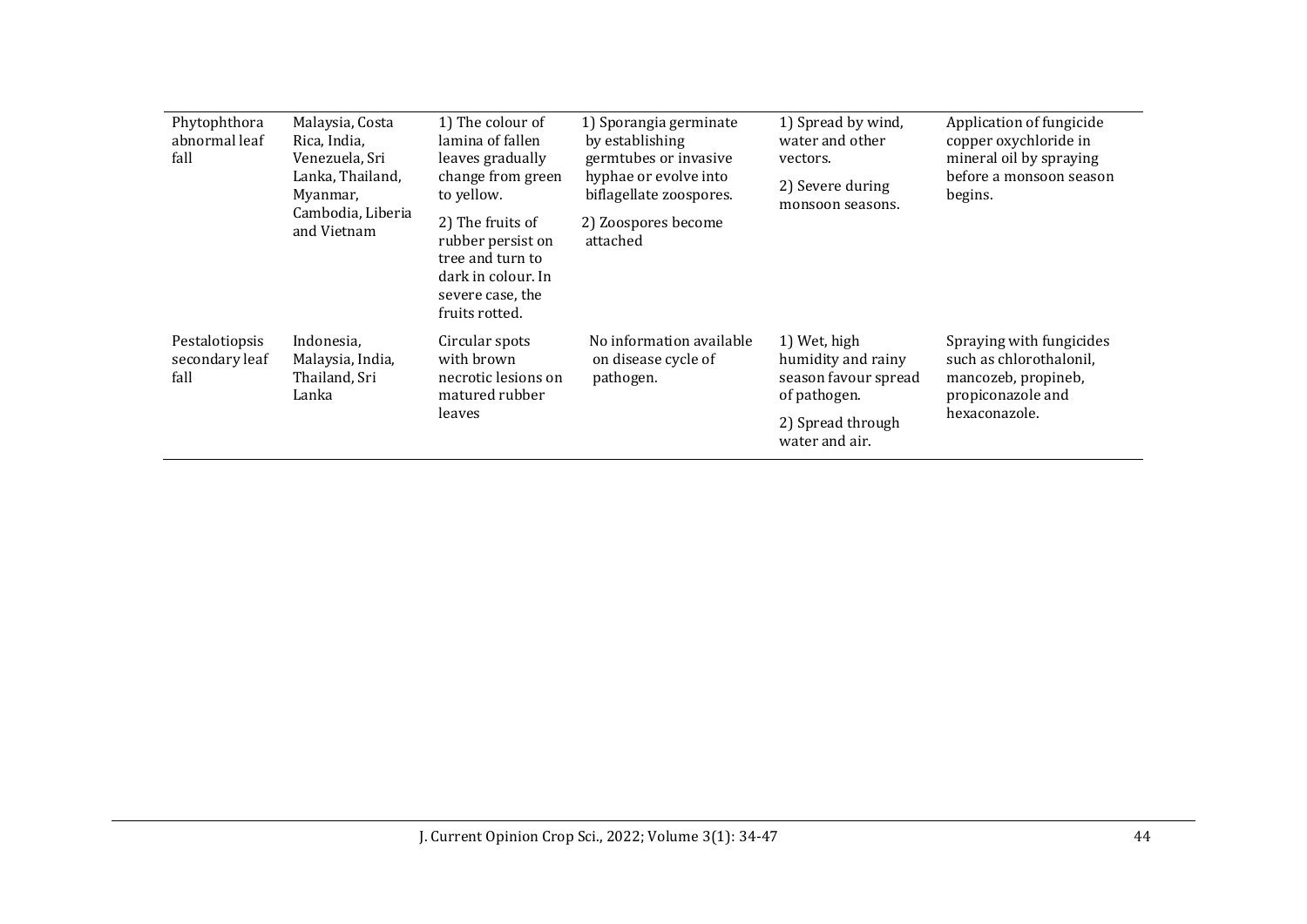| Phytophthora<br>abnormal leaf<br>fall    | Malaysia, Costa<br>Rica, India,<br>Venezuela, Sri<br>Lanka, Thailand,<br>Myanmar,<br>Cambodia, Liberia<br>and Vietnam | 1) The colour of<br>lamina of fallen<br>leaves gradually<br>change from green<br>to yellow.<br>2) The fruits of<br>rubber persist on<br>tree and turn to<br>dark in colour. In<br>severe case, the<br>fruits rotted. | 1) Sporangia germinate<br>by establishing<br>germtubes or invasive<br>hyphae or evolve into<br>biflagellate zoospores.<br>2) Zoospores become<br>attached | 1) Spread by wind,<br>water and other<br>vectors.<br>2) Severe during<br>monsoon seasons.                         | Application of fungicide<br>copper oxychloride in<br>mineral oil by spraying<br>before a monsoon season<br>begins. |
|------------------------------------------|-----------------------------------------------------------------------------------------------------------------------|----------------------------------------------------------------------------------------------------------------------------------------------------------------------------------------------------------------------|-----------------------------------------------------------------------------------------------------------------------------------------------------------|-------------------------------------------------------------------------------------------------------------------|--------------------------------------------------------------------------------------------------------------------|
| Pestalotiopsis<br>secondary leaf<br>fall | Indonesia,<br>Malaysia, India,<br>Thailand, Sri<br>Lanka                                                              | Circular spots<br>with brown<br>necrotic lesions on<br>matured rubber<br>leaves                                                                                                                                      | No information available<br>on disease cycle of<br>pathogen.                                                                                              | 1) Wet, high<br>humidity and rainy<br>season favour spread<br>of pathogen.<br>2) Spread through<br>water and air. | Spraying with fungicides<br>such as chlorothalonil,<br>mancozeb, propineb,<br>propiconazole and<br>hexaconazole.   |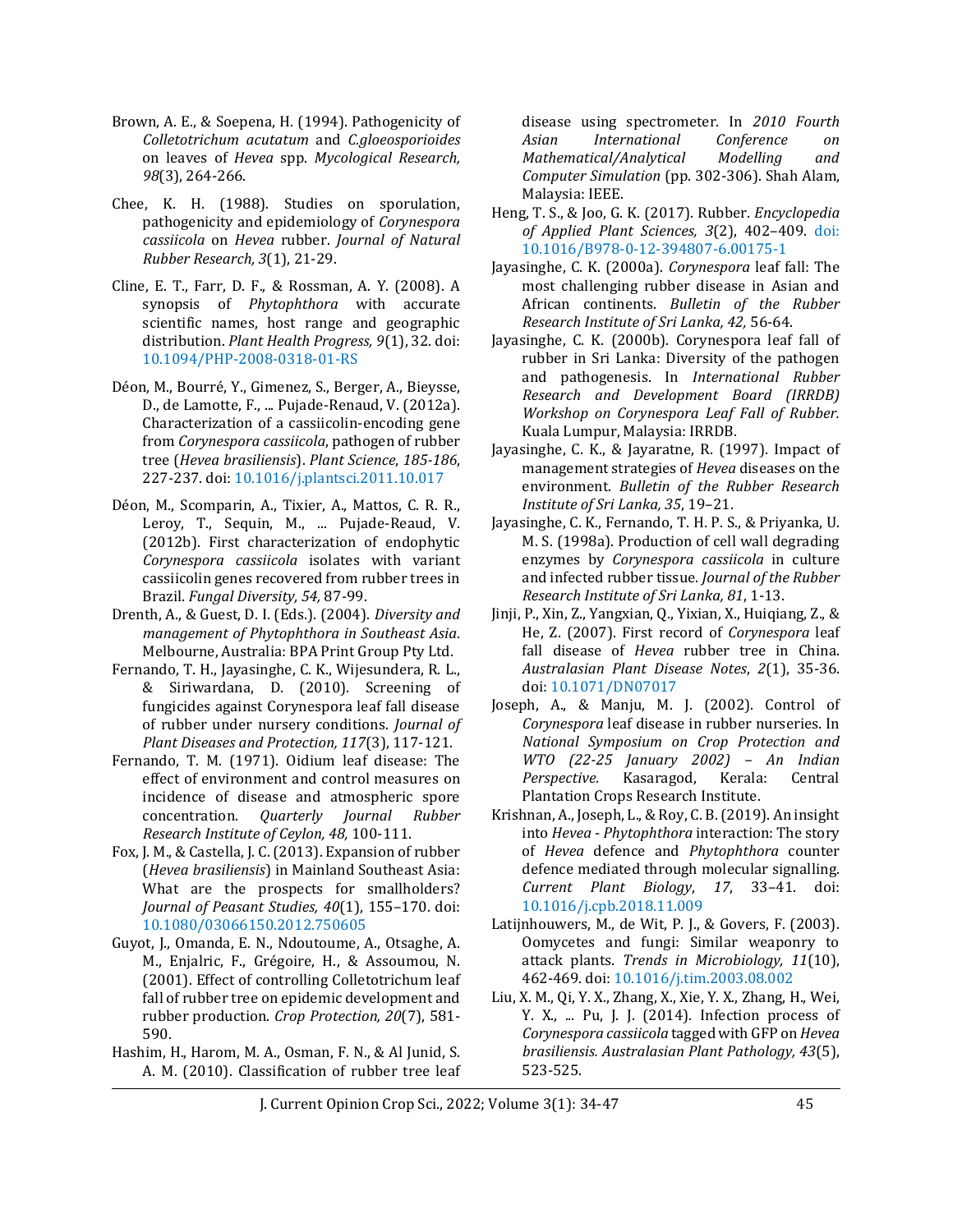- Brown, A. E., & Soepena, H. (1994). Pathogenicity of *Colletotrichum acutatum* and *C.gloeosporioides* on leaves of *Hevea* spp. *Mycological Research, 98*(3), 264-266.
- Chee, K. H. (1988). Studies on sporulation, pathogenicity and epidemiology of *Corynespora cassiicola* on *Hevea* rubber. *Journal of Natural Rubber Research, 3*(1), 21-29.
- Cline, E. T., Farr, D. F., & Rossman, A. Y. (2008). A synopsis of *Phytophthora* with accurate scientific names, host range and geographic distribution. *Plant Health Progress, 9*(1), 32. doi: 10.1094/PHP-2008-0318-01-RS
- Déon, M., Bourré, Y., Gimenez, S., Berger, A., Bieysse, D., de Lamotte, F., ... Pujade-Renaud, V. (2012a). Characterization of a cassiicolin-encoding gene from *Corynespora cassiicola*, pathogen of rubber tree (*Hevea brasiliensis*). *Plant Science*, *185-186*, 227-237. doi: 10.1016/j.plantsci.2011.10.017
- Déon, M., Scomparin, A., Tixier, A., Mattos, C. R. R., Leroy, T., Sequin, M., ... Pujade-Reaud, V. (2012b). First characterization of endophytic *Corynespora cassiicola* isolates with variant cassiicolin genes recovered from rubber trees in Brazil. *Fungal Diversity, 54,* 87-99.
- Drenth, A., & Guest, D. I. (Eds.). (2004). *Diversity and management of Phytophthora in Southeast Asia*. Melbourne, Australia: BPA Print Group Pty Ltd.
- Fernando, T. H., Jayasinghe, C. K., Wijesundera, R. L., & Siriwardana, D. (2010). Screening of fungicides against Corynespora leaf fall disease of rubber under nursery conditions. *Journal of Plant Diseases and Protection, 117*(3), 117-121.
- Fernando, T. M. (1971). Oidium leaf disease: The effect of environment and control measures on incidence of disease and atmospheric spore concentration. *Quarterly Journal Rubber Research Institute of Ceylon, 48,* 100-111.
- Fox, J. M., & Castella, J. C. (2013). Expansion of rubber (*Hevea brasiliensis*) in Mainland Southeast Asia: What are the prospects for smallholders? *Journal of Peasant Studies, 40*(1), 155–170. doi: [10.1080/03066150.2012.750605](https://doi.org/10.1080/03066150.2012.750605)
- Guyot, J., Omanda, E. N., Ndoutoume, A., Otsaghe, A. M., Enjalric, F., Grégoire, H., & Assoumou, N. (2001). Effect of controlling Colletotrichum leaf fall of rubber tree on epidemic development and rubber production. *Crop Protection, 20*(7), 581- 590.
- Hashim, H., Harom, M. A., Osman, F. N., & Al Junid, S. A. M. (2010). Classification of rubber tree leaf

disease using spectrometer. In *2010 Fourth Asian International Conference on Mathematical/Analytical Modelling and Computer Simulation* (pp. 302-306). Shah Alam, Malaysia: IEEE.

- Heng, T. S., & Joo, G. K. (2017). Rubber. *Encyclopedia of Applied Plant Sciences, 3*(2), 402–409. [doi:](https://doi.org/10.1016/B978-0-12-394807-6.00175-1)  [10.1016/B978-0-12-394807-6.00175-1](https://doi.org/10.1016/B978-0-12-394807-6.00175-1)
- Jayasinghe, C. K. (2000a). *Corynespora* leaf fall: The most challenging rubber disease in Asian and African continents. *Bulletin of the Rubber Research Institute of Sri Lanka, 42,* 56-64.
- Jayasinghe, C. K. (2000b). Corynespora leaf fall of rubber in Sri Lanka: Diversity of the pathogen and pathogenesis. In *International Rubber Research and Development Board (IRRDB) Workshop on Corynespora Leaf Fall of Rubber.* Kuala Lumpur, Malaysia: IRRDB.
- Jayasinghe, C. K., & Jayaratne, R. (1997). Impact of management strategies of *Hevea* diseases on the environment. *Bulletin of the Rubber Research Institute of Sri Lanka, 35*, 19–21.
- Jayasinghe, C. K., Fernando, T. H. P. S., & Priyanka, U. M. S. (1998a). Production of cell wall degrading enzymes by *Corynespora cassiicola* in culture and infected rubber tissue. *Journal of the Rubber Research Institute of Sri Lanka, 81*, 1-13.
- Jinji, P., Xin, Z., Yangxian, Q., Yixian, X., Huiqiang, Z., & He, Z. (2007). First record of *Corynespora* leaf fall disease of *Hevea* rubber tree in China. *Australasian Plant Disease Notes*, *2*(1), 35-36. doi: 10.1071/DN07017
- Joseph, A., & Manju, M. J. (2002). Control of *Corynespora* leaf disease in rubber nurseries. In *National Symposium on Crop Protection and WTO (22-25 January 2002) – An Indian Perspective.* Kasaragod, Kerala: Central Plantation Crops Research Institute.
- Krishnan, A., Joseph, L., & Roy, C. B. (2019). An insight into *Hevea* - *Phytophthora* interaction: The story of *Hevea* defence and *Phytophthora* counter defence mediated through molecular signalling. *Current Plant Biology*, *17*, 33–41. [doi:](https://doi.org/10.1016/j.cpb.2018.11.009)  [10.1016/j.cpb.2018.11.009](https://doi.org/10.1016/j.cpb.2018.11.009)
- Latijnhouwers, M., de Wit, P. J., & Govers, F. (2003). Oomycetes and fungi: Similar weaponry to attack plants. *Trends in Microbiology, 11*(10), 462-469. doi: [10.1016/j.tim.2003.08.002](http://doi.org/10.1016/j.tim.2003.08.002)
- Liu, X. M., Qi, Y. X., Zhang, X., Xie, Y. X., Zhang, H., Wei, Y. X., ... Pu, J. J. (2014). Infection process of *Corynespora cassiicola* tagged with GFP on *Hevea brasiliensis. Australasian Plant Pathology, 43*(5), 523-525.

J. Current Opinion Crop Sci., 2022; Volume 3(1): 34-47 45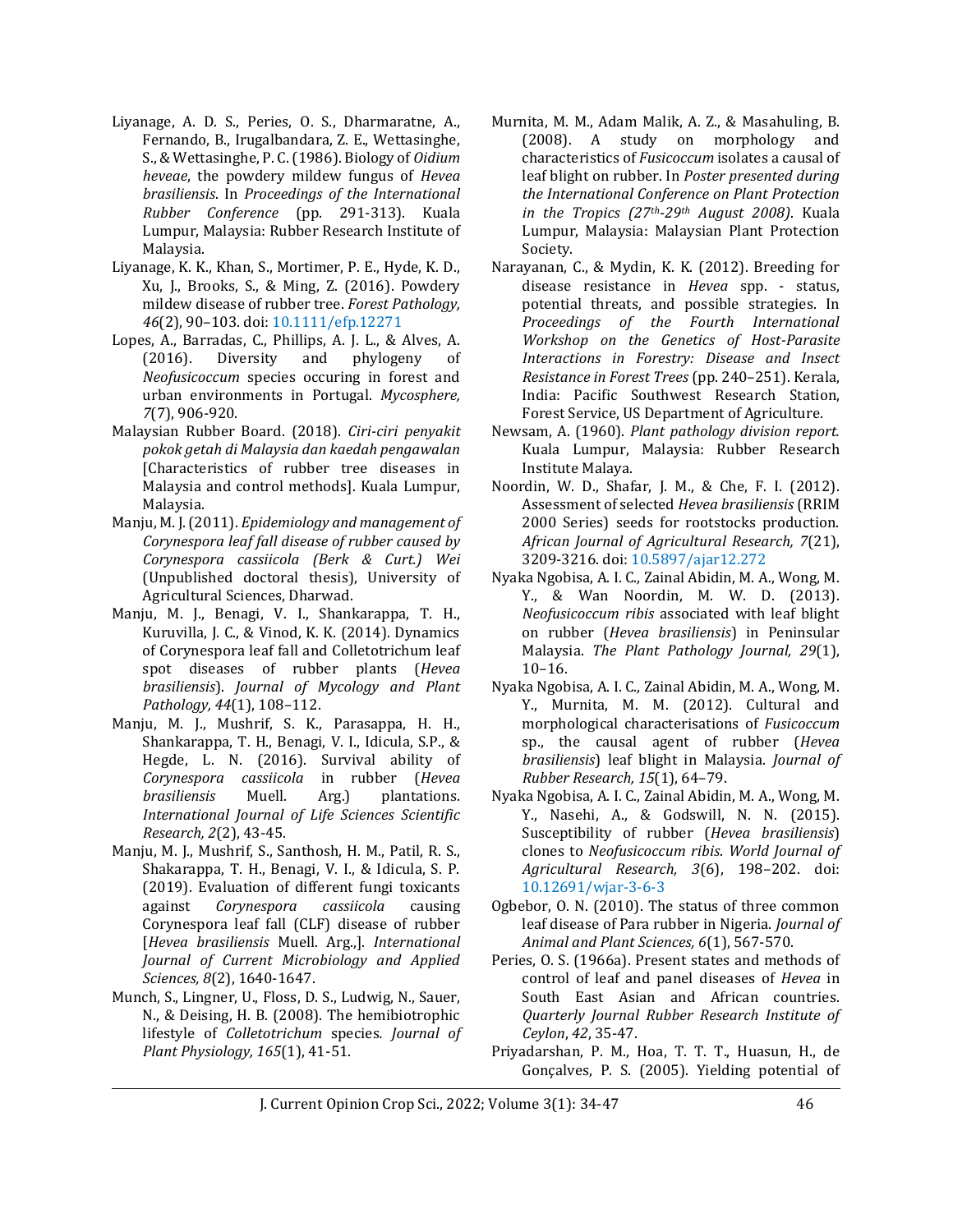- Liyanage, A. D. S., Peries, O. S., Dharmaratne, A., Fernando, B., Irugalbandara, Z. E., Wettasinghe, S., & Wettasinghe, P. C. (1986). Biology of *Oidium heveae*, the powdery mildew fungus of *Hevea brasiliensis*. In *Proceedings of the International Rubber Conference* (pp. 291-313). Kuala Lumpur, Malaysia: Rubber Research Institute of Malaysia.
- Liyanage, K. K., Khan, S., Mortimer, P. E., Hyde, K. D., Xu, J., Brooks, S., & Ming, Z. (2016). Powdery mildew disease of rubber tree. *Forest Pathology, 46*(2), 90–103. [doi: 10.1111/efp.12271](https://doi.org/10.1111/efp.12271)
- Lopes, A., Barradas, C., Phillips, A. J. L., & Alves, A. (2016). Diversity and phylogeny of *Neofusicoccum* species occuring in forest and urban environments in Portugal. *Mycosphere, 7*(7), 906-920.
- Malaysian Rubber Board. (2018). *Ciri-ciri penyakit pokok getah di Malaysia dan kaedah pengawalan*  [Characteristics of rubber tree diseases in Malaysia and control methods]. Kuala Lumpur, Malaysia.
- Manju, M. J. (2011). *Epidemiology and management of Corynespora leaf fall disease of rubber caused by Corynespora cassiicola (Berk & Curt.) Wei* (Unpublished doctoral thesis), University of Agricultural Sciences, Dharwad.
- Manju, M. J., Benagi, V. I., Shankarappa, T. H., Kuruvilla, J. C., & Vinod, K. K. (2014). Dynamics of Corynespora leaf fall and Colletotrichum leaf spot diseases of rubber plants (*Hevea brasiliensis*). *Journal of Mycology and Plant Pathology, 44*(1), 108–112.
- Manju, M. J., Mushrif, S. K., Parasappa, H. H., Shankarappa, T. H., Benagi, V. I., Idicula, S.P., & Hegde, L. N. (2016). Survival ability of *Corynespora cassiicola* in rubber (*Hevea brasiliensis* Muell. Arg.) plantations. *International Journal of Life Sciences Scientific Research, 2*(2), 43-45.
- Manju, M. J., Mushrif, S., Santhosh, H. M., Patil, R. S., Shakarappa, T. H., Benagi, V. I., & Idicula, S. P. (2019). Evaluation of different fungi toxicants against *Corynespora cassiicola* causing Corynespora leaf fall (CLF) disease of rubber [*Hevea brasiliensis* Muell. Arg.,]. *International Journal of Current Microbiology and Applied Sciences, 8*(2), 1640-1647.
- Munch, S., Lingner, U., Floss, D. S., Ludwig, N., Sauer, N., & Deising, H. B. (2008). The hemibiotrophic lifestyle of *Colletotrichum* species*. Journal of Plant Physiology, 165*(1), 41-51.
- Murnita, M. M., Adam Malik, A. Z., & Masahuling, B. (2008). A study on morphology and characteristics of *Fusicoccum* isolates a causal of leaf blight on rubber. In *Poster presented during the International Conference on Plant Protection in the Tropics (27th-29th August 2008)*. Kuala Lumpur, Malaysia: Malaysian Plant Protection Society.
- Narayanan, C., & Mydin, K. K. (2012). Breeding for disease resistance in *Hevea* spp. - status, potential threats, and possible strategies. In *Proceedings of the Fourth International Workshop on the Genetics of Host-Parasite Interactions in Forestry: Disease and Insect Resistance in Forest Trees* (pp. 240–251). Kerala, India: Pacific Southwest Research Station, Forest Service, US Department of Agriculture.
- Newsam, A. (1960). *Plant pathology division report.* Kuala Lumpur, Malaysia: Rubber Research Institute Malaya.
- Noordin, W. D., Shafar, J. M., & Che, F. I. (2012). Assessment of selected *Hevea brasiliensis* (RRIM 2000 Series) seeds for rootstocks production. *African Journal of Agricultural Research, 7*(21), 3209-3216[. doi: 10.5897/ajar12.272](https://doi.org/10.5897/ajar12.272)
- Nyaka Ngobisa, A. I. C., Zainal Abidin, M. A., Wong, M. Y., & Wan Noordin, M. W. D. (2013). *Neofusicoccum ribis* associated with leaf blight on rubber (*Hevea brasiliensis*) in Peninsular Malaysia. *The Plant Pathology Journal, 29*(1), 10–16.
- Nyaka Ngobisa, A. I. C., Zainal Abidin, M. A., Wong, M. Y., Murnita, M. M. (2012). Cultural and morphological characterisations of *Fusicoccum* sp., the causal agent of rubber (*Hevea brasiliensis*) leaf blight in Malaysia. *Journal of Rubber Research, 15*(1), 64–79.
- Nyaka Ngobisa, A. I. C., Zainal Abidin, M. A., Wong, M. Y., Nasehi, A., & Godswill, N. N. (2015). Susceptibility of rubber (*Hevea brasiliensis*) clones to *Neofusicoccum ribis*. *World Journal of Agricultural Research, 3*(6), 198–202. [doi:](https://doi.org/10.12691/wjar-3-6-3)  [10.12691/wjar-3-6-3](https://doi.org/10.12691/wjar-3-6-3)
- Ogbebor, O. N. (2010). The status of three common leaf disease of Para rubber in Nigeria. *Journal of Animal and Plant Sciences, 6*(1), 567-570.
- Peries, O. S. (1966a). Present states and methods of control of leaf and panel diseases of *Hevea* in South East Asian and African countries. *Quarterly Journal Rubber Research Institute of Ceylon*, *42*, 35-47.
- Priyadarshan, P. M., Hoa, T. T. T., Huasun, H., de Gonçalves, P. S. (2005). Yielding potential of

J. Current Opinion Crop Sci., 2022; Volume 3(1): 34-47 46